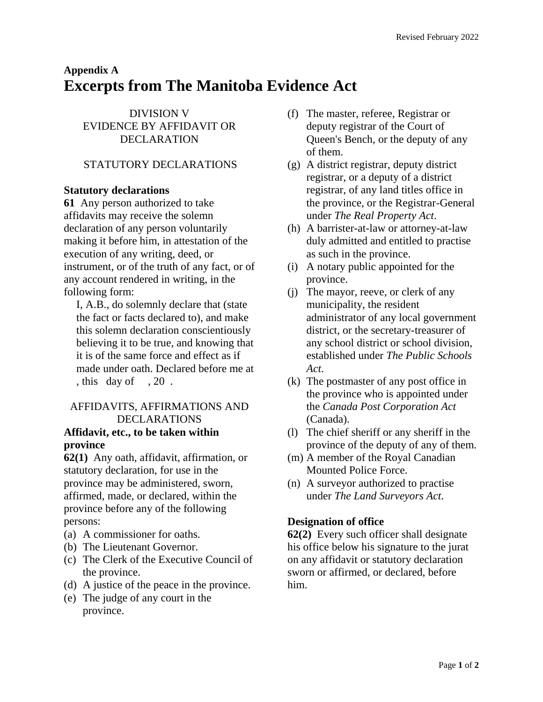# **Appendix A Excerpts from The Manitoba Evidence Act**

DIVISION V EVIDENCE BY AFFIDAVIT OR DECLARATION

# STATUTORY DECLARATIONS

## **Statutory declarations**

**[61](https://web2.gov.mb.ca/laws/statutes/ccsm/e150f.php#62)** Any person authorized to take affidavits may receive the solemn declaration of any person voluntarily making it before him, in attestation of the execution of any writing, deed, or instrument, or of the truth of any fact, or of any account rendered in writing, in the following form:

I, A.B., do solemnly declare that (state the fact or facts declared to), and make this solemn declaration conscientiously believing it to be true, and knowing that it is of the same force and effect as if made under oath. Declared before me at , this day of , 20 .

# AFFIDAVITS, AFFIRMATIONS AND DECLARATIONS

#### **Affidavit, etc., to be taken within province**

**[62\(1\)](https://web2.gov.mb.ca/laws/statutes/ccsm/e150f.php#62)** Any oath, affidavit, affirmation, or statutory declaration, for use in the province may be administered, sworn, affirmed, made, or declared, within the province before any of the following persons:

- (a) A commissioner for oaths.
- (b) The Lieutenant Governor.
- (c) The Clerk of the Executive Council of the province.
- (d) A justice of the peace in the province.
- (e) The judge of any court in the province.
- (f) The master, referee, Registrar or deputy registrar of the Court of Queen's Bench, or the deputy of any of them.
- (g) A district registrar, deputy district registrar, or a deputy of a district registrar, of any land titles office in the province, or the Registrar-General under *The Real Property Act*.
- (h) A barrister-at-law or attorney-at-law duly admitted and entitled to practise as such in the province.
- (i) A notary public appointed for the province.
- (j) The mayor, reeve, or clerk of any municipality, the resident administrator of any local government district, or the secretary-treasurer of any school district or school division, established under *The Public Schools Act*.
- (k) The postmaster of any post office in the province who is appointed under the *Canada Post Corporation Act* (Canada).
- (l) The chief sheriff or any sheriff in the province of the deputy of any of them.
- (m) A member of the Royal Canadian Mounted Police Force.
- (n) A surveyor authorized to practise under *The Land Surveyors Act*.

## **Designation of office**

**[62\(2\)](https://web2.gov.mb.ca/laws/statutes/ccsm/e150f.php#62)** Every such officer shall designate his office below his signature to the jurat on any affidavit or statutory declaration sworn or affirmed, or declared, before him.